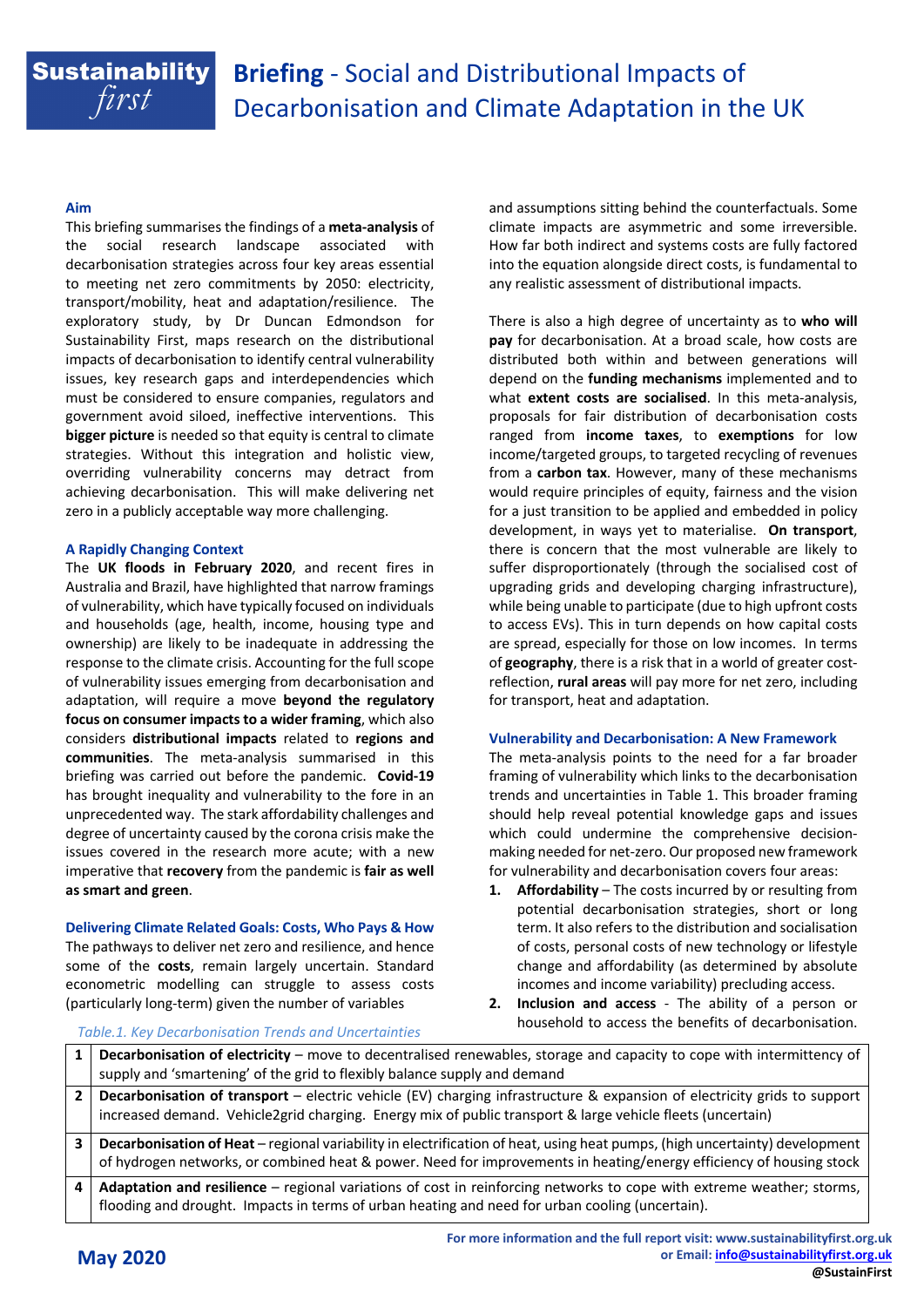# **Sustainability** first

### **Aim**

This briefing summarises the findings of a **meta-analysis** of the social research landscape associated with decarbonisation strategies across four key areas essential to meeting net zero commitments by 2050: electricity, transport/mobility, heat and adaptation/resilience. The exploratory study, by Dr Duncan Edmondson for Sustainability First, maps research on the distributional impacts of decarbonisation to identify central vulnerability issues, key research gaps and interdependencies which must be considered to ensure companies, regulators and government avoid siloed, ineffective interventions. This **bigger picture** is needed so that equity is central to climate strategies. Without this integration and holistic view, overriding vulnerability concerns may detract from achieving decarbonisation. This will make delivering net zero in a publicly acceptable way more challenging.

### **A Rapidly Changing Context**

The **UK floods in February 2020**, and recent fires in Australia and Brazil, have highlighted that narrow framings of vulnerability, which have typically focused on individuals and households (age, health, income, housing type and ownership) are likely to be inadequate in addressing the response to the climate crisis. Accounting for the full scope of vulnerability issues emerging from decarbonisation and adaptation, will require a move **beyond the regulatory focus on consumer impacts to a wider framing**, which also considers **distributional impacts** related to **regions and communities**. The meta-analysis summarised in this briefing was carried out before the pandemic. **Covid-19** has brought inequality and vulnerability to the fore in an unprecedented way. The stark affordability challenges and degree of uncertainty caused by the corona crisis make the issues covered in the research more acute; with a new imperative that **recovery** from the pandemic is **fair as well as smart and green**.

#### **Delivering Climate Related Goals: Costs, Who Pays & How**

The pathways to deliver net zero and resilience, and hence some of the **costs**, remain largely uncertain. Standard econometric modelling can struggle to assess costs (particularly long-term) given the number of variables

and assumptions sitting behind the counterfactuals. Some climate impacts are asymmetric and some irreversible. How far both indirect and systems costs are fully factored into the equation alongside direct costs, is fundamental to any realistic assessment of distributional impacts.

There is also a high degree of uncertainty as to **who will pay** for decarbonisation. At a broad scale, how costs are distributed both within and between generations will depend on the **funding mechanisms** implemented and to what **extent costs are socialised**. In this meta-analysis, proposals for fair distribution of decarbonisation costs ranged from **income taxes**, to **exemptions** for low income/targeted groups, to targeted recycling of revenues from a **carbon tax**. However, many of these mechanisms would require principles of equity, fairness and the vision for a just transition to be applied and embedded in policy development, in ways yet to materialise. **On transport**, there is concern that the most vulnerable are likely to suffer disproportionately (through the socialised cost of upgrading grids and developing charging infrastructure), while being unable to participate (due to high upfront costs to access EVs). This in turn depends on how capital costs are spread, especially for those on low incomes. In terms of **geography**, there is a risk that in a world of greater costreflection, **rural areas** will pay more for net zero, including for transport, heat and adaptation.

#### **Vulnerability and Decarbonisation: A New Framework**

The meta-analysis points to the need for a far broader framing of vulnerability which links to the decarbonisation trends and uncertainties in Table 1. This broader framing should help reveal potential knowledge gaps and issues which could undermine the comprehensive decisionmaking needed for net-zero. Our proposed new framework for vulnerability and decarbonisation covers four areas:

- **1. Affordability** The costs incurred by or resulting from potential decarbonisation strategies, short or long term. It also refers to the distribution and socialisation of costs, personal costs of new technology or lifestyle change and affordability (as determined by absolute incomes and income variability) precluding access.
- **2. Inclusion and access** The ability of a person or household to access the benefits of decarbonisation.

**1 Decarbonisation of electricity** – move to decentralised renewables, storage and capacity to cope with intermittency of supply and 'smartening' of the grid to flexibly balance supply and demand **2 Decarbonisation of transport** – electric vehicle (EV) charging infrastructure & expansion of electricity grids to support increased demand. Vehicle2grid charging. Energy mix of public transport & large vehicle fleets (uncertain) **3 Decarbonisation of Heat** – regional variability in electrification of heat, using heat pumps, (high uncertainty) development of hydrogen networks, or combined heat & power. Need for improvements in heating/energy efficiency of housing stock **4 Adaptation and resilience** – regional variations of cost in reinforcing networks to cope with extreme weather; storms, flooding and drought. Impacts in terms of urban heating and need for urban cooling (uncertain).

#### *Table.1. Key Decarbonisation Trends and Uncertainties*